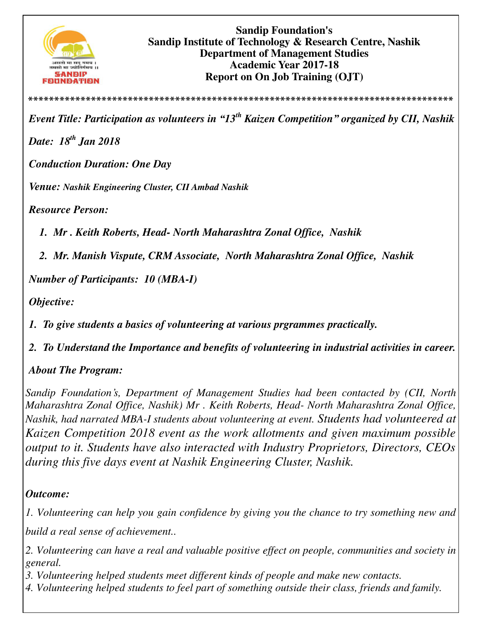

*Event Title: Participation as volunteers in "13th Kaizen Competition" organized by CII, Nashik* 

**\*\*\*\*\*\*\*\*\*\*\*\*\*\*\*\*\*\*\*\*\*\*\*\*\*\*\*\*\*\*\*\*\*\*\*\*\*\*\*\*\*\*\*\*\*\*\*\*\*\*\*\*\*\*\*\*\*\*\*\*\*\*\*\*\*\*\*\*\*\*\*\*\*\*\*\*\*\*\*\*\***

*Date: 18th Jan 2018* 

*Conduction Duration: One Day* 

*Venue: Nashik Engineering Cluster, CII Ambad Nashik*

*Resource Person:* 

*1. Mr . Keith Roberts, Head- North Maharashtra Zonal Office, Nashik* 

*2. Mr. Manish Vispute, CRM Associate, North Maharashtra Zonal Office, Nashik* 

*Number of Participants: 10 (MBA-I)*

*Objective:* 

*1. To give students a basics of volunteering at various prgrammes practically.* 

*2. To Understand the Importance and benefits of volunteering in industrial activities in career.* 

*About The Program:* 

*Sandip Foundation's, Department of Management Studies had been contacted by (CII, North Maharashtra Zonal Office, Nashik) Mr . Keith Roberts, Head- North Maharashtra Zonal Office, Nashik, had narrated MBA-I students about volunteering at event. Students had volunteered at Kaizen Competition 2018 event as the work allotments and given maximum possible output to it. Students have also interacted with Industry Proprietors, Directors, CEOs during this five days event at Nashik Engineering Cluster, Nashik.*

## *Outcome:*

*1. Volunteering can help you gain confidence by giving you the chance to try something new and* 

*build a real sense of achievement..* 

*2. Volunteering can have a real and valuable positive effect on people, communities and society in general.* 

*3. Volunteering helped students meet different kinds of people and make new contacts.* 

*4. Volunteering helped students to feel part of something outside their class, friends and family.*